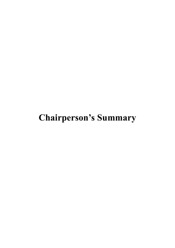## **Chairperson's Summary**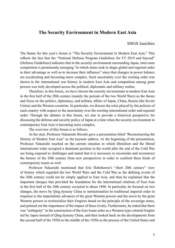## **The Security Environment in Modern East Asia**

## SHOJI Junichiro

The theme for this year's forum is "The Security Environment in Modern East Asia." This reflects the fact that the "National Defense Program Guidelines for FY 2019 and beyond" (Defense Guidelines) indicates that in the security environment surrounding Japan, inter-state competition is prominently emerging "in which states seek to shape global and regional order to their advantage as well as to increase their influence" since that changes in power balance are accelerating and becoming more complex. Such uncertainty over the existing order was shown in the international war history in modern East Asia and competition among great powers was truly developed across the political, diplomatic and military realms.

Therefore, in this forum, we have chosen the security environment in modern East Asia in the first half of the 20th century (mainly the periods of the two World Wars) as the theme and focus on the politics, diplomacy, and military affairs of Japan, China, Russia (the Soviet Union) and the Western countries. In particular, we discuss the roles played by the policies of each country with respect to the uncertainty over the existing international order and regional order. Through the debates in this forum, we aim to provide a historical perspective for discussing the defense and security policy of Japan at a time when the security environment in contemporary East Asia is becoming more complex.

The overview of this forum is as follows.

At the start, Professor Nakanishi Hiroshi gave a presentation titled "Reconstructing the History of Modern East Asia" as the keynote address. At the beginning of the presentation, Professor Nakanishi touched on the current situation in which liberalism and the liberal international order occupied a dominant position in the world after the end of the Cold War are being exposed to challenges and stated that it is necessary to reconsider and reconstruct the history of the 20th century from new perspectives in order to confront these kinds of contemporary issues as well.

Professor Nakanishi mentioned that Eric Hobsbawm's "short 20th century" view of history which regarded the two World Wars and the Cold War as the defining events of the 20th century could not be simply applied to East Asia, and then he explained that the important changes that provided the foundation for the international relations of East Asia in the first half of the 20th century occurred in about 1890. In particular, he focused on two changes, the move by Qing dynasty China to institutionalize its traditional imperial order in response to the imperialistic advances of the great Western powers and the move by the great Western powers to territorialize their Empires based on the principle of the sovereign states, and pointed out the importance of the impact of these rivalry. Furthermore, he stated that there was "ambiguity" in the construction of the East Asian order as a Western-type colonial Empire led by Japan instead of Qing dynasty China, and then looked back on the developments from the second half of the 1920s to the middle of the 1930s as the process of the United States and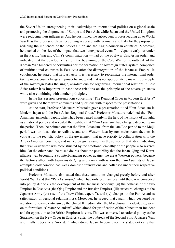the Soviet Union strengthening their leaderships in international politics on a global scale and promoting the alignments of Europe and East Asia while Japan and the United Kingdom were reducing their influences. And he positioned the subsequent process leading up to World War II as the process of Japan becoming accessed with Germany and Italy for the purpose of reducing the influences of the Soviet Union and the Anglo-American countries. Moreover, he touched on the size of the impact that two "unexpected events" — Japan's early surrender in the Pacific War and China's communization — had on the post-war East Asian order, and indicated that the developments from the beginning of the Cold War to the outbreak of the Korean War hindered opportunities for the formation of sovereign states system comprised of multinational countries in East Asia after the disintegration of the Japanese Empire. In conclusion, he stated that in East Asia it is necessary to reorganize the international order taking into account changes in power balance, and that is not appropriate to make the principle of the sovereign states the single, absolute one for organizing international relations in East Asia; rather it is important to base these relations on the principle of the sovereign states while also combining with another principles.

In the first session, presentations concerning "The Regional Order in Modern East Asia" were given and there were comments and questions with respect to the presentations.

At the start, Professor Matsuura Masataka gave a presentation titled "Pan-Asianism in Modern Japan and the East Asian Regional Order." Professor Matsuura redefined the "Pan-Asianism" in modern Japan, which had been treated mainly in the field of the history of thought, as a national policy and revealed the realities that "Pan-Asianism" had changed depending on the period. Then, he pointed out that the "Pan-Asianism" from the late Edo period to the Meiji period was an idealistic, unrealistic, and anti-Western idea by non-mainstream factions in contrast to the realistic policy of the government that gave priority to collaboration with the Anglo-American countries, and named Saigo Takamori as the source of that idea, indicating that "Pan-Asianism" was reconstructed by the emotional empathy of the people who revered him. On the other hand, he raised doubts about the possibility that the Japan, Qing and Korea alliance was becoming a counterbalancing power against the great Western powers, because the factions allied with Japan inside Qing and Korea with whom the Pan-Asianists of Japan attempted collaboration had weak domestic foundations and collapsed under their respective political conditions.

Professor Matsuura also stated that these conditions changed greatly before and after World War I and that "Pan-Asianism," which had only been an idea until then, was converted into policy due to (i) the development of the Japanese economy, (ii) the collapse of the two Empires in East Asia (the Qing Empire and the Russian Empire), (iii) structural changes to the Japanese Army (the rise of the "new China experts"), and (iv) changes to the Pan-Asianists (attenuation of personal relationships). Moreover, he argued that Japan, which deepened its isolation following criticism by the United Kingdom after the Manchurian Incident, etc., went on to formulate "Greater Asianism" which aimed for justification of the Manchurian Incident and for opposition to the British Empire at its core. This was converted to national policy as the Statement on the New Order in East Asia after the outbreak of the Second Sino-Japanese War, and finally it became a "monster" which drove Japan. In conclusion, he stated critically that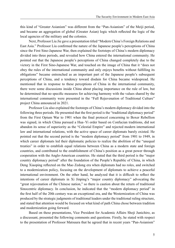this kind of "Greater Asianism" was different from the "Pan-Asianism" of the Meiji period, and became an aggregation of global (Greater Asian) logic which reflected the logic of the local agencies of the military and the colonies.

Next, Professor Liu Jie gave a presentation titled "Modern China's Foreign Relations and East Asia." Professor Liu confirmed the nature of the Japanese people's perceptions of China since the First Sino-Japanese War, then explained the footsteps of China's modern diplomacy divided into three periods, and revealed how China entered the international community. He pointed out that the Japanese people's perceptions of China changed completely due to the victory in the First Sino-Japanese War, and touched on the image of China that it "does not obey the rules of the international community and only enjoys benefits without fulfilling its obligations" became entrenched as an important part of the Japanese people's subsequent perceptions of China, and a tendency toward disdain for China became widespread. He mentioned that in response to these perceptions of China in the international community, there were some discussions inside China about placing importance on the rule of law, but he determined that no specific measures for achieving harmony with the values shared by the international community were presented in the "Full Rejuvenation of Traditional Culture" project China announced in 2021.

Professor Liu also explained the footsteps of China's modern diplomacy divided into the following three periods. He presented that the first period is the "traditional diplomacy period" from the First Opium War to 1901 when the final protocol concerning to Boxer Rebellion was signed, in which China pursued a Hua–Yi order based on Confucian traditions, did not abandon its sense of superiority as the "Celestial Empire" and rejected modern international law and international relations, with the active space of career diplomats barely existed. He pointed out that the second period is the "modern diplomacy period" from 1901 to 1949, in which career diplomats led their diplomatic policies to realize the abolition of the "unequal treaties" in order to establish equal relations between China as a modern state and foreign countries, and contributed to the establishment of China's position as a great power through cooperation with the Anglo-American countries. He stated that the third period is the "major country diplomacy period" after the foundation of the People's Republic of China, in which Deng Xiaoping reflected on the Mao Zedong era when diplomats had no roles, and switched to a modernization policy, focusing on the development of diplomats to achieve a peaceful international environment. On the other hand, he analyzed that it is difficult to reflect the intentions of career diplomats in Xi Jinping's "major country diplomacy" advocating the "great rejuvenation of the Chinese nation," so there is caution about the return of traditional Sinocentric diplomacy. In conclusion, he indicated that the "modern diplomacy period" in the first half of the 20th century was an exceptional era, and the Westernization of China was produced by the strategic judgments of traditional leaders under the traditional ruling structure, and stated that attention would be focused on what kind of path China chose between tradition and modernization going forward.

Based on these presentations, Vice President for Academic Affairs Shoji Junichiro, as a discussant, presented the following comments and questions. Firstly, he stated with respect to the presentation of Professor Matsuura that he agreed that in recent years "Pan-Asianism"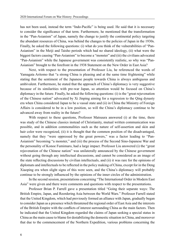has not been used, instead the term "Indo-Pacific" is being used. He said that it is necessary to consider the significance of that term. Furthermore, he mentioned that the transformation in the "Pan-Asianism" of Japan, namely the change to justify the continental policy targeting the abundant resources of China, was behind the changes to the policies of Japan in the 1930s. Finally, he asked the following questions: (i) what do you think of the vulnerabilities of "Pan-Asianism" in the Meiji and Taisho periods which had no shared ideology, (ii) what were the biggest factors causing "Pan-Asianism" to become a "monster" and (iii) the civilians advocated "Pan-Asianism" while the Japanese government was consistently realistic, so why was "Pan-Asianism" brought to the forefront in the 1938 Statement on the New Order in East Asia?

Next, with respect to the presentation of Professor Liu, he referenced the words of Yamagata Aritomo that "a strong China is pleasing and at the same time frightening" while stating that the sentiment of the Japanese people towards China is always ambiguous and ambivalent. Furthermore, he stated that the approach of China's diplomacy is very suggestive because of its similarities with pre-war Japan, so attention would be focused on China's diplomacy in the future. Finally, he asked the following questions: (i) is the "great rejuvenation of the Chinese nation" advocated by Xi Jinping aiming for a regression to the Qing dynasty era when China considered Japan to be a vassal state and (ii) in China the Ministry of Foreign Affairs is considered to be in a low position, so will the China's diplomacy continue to be advanced away from reality in the future?

With respect to these questions, Professor Matsuura answered (i) at the time, there was study of the Chinese classics instead of Christianity, mutual written communication was possible, and in addition commonalities such as the nature of self-assertion and skin and hair color were recognized, (ii) it is thought that the common position of the disadvantaged, namely that they "were oppressed by the great powers," was a factor leading to "Pan-Asianism" becoming "a monster," and (iii) the process of the Second Sino-Japanese War and the personality of Konoe Fumimaro, had a large impact. Professor Liu answered (i) the "great rejuvenation of the Chinese nation" was unilaterally announced by the Chinese government without going through any intellectual discussions, and cannot be considered as an image of the state reflecting discussions by civilian intellectuals, and (ii) it was rare for the opinions of diplomats and intellectuals to be reflected in the policy making of China, except for in the Deng Xiaoping era when slight signs of this were seen, and the China's diplomacy will probably continue to be strongly influenced by the opinions of the inner circles of the administration.

In the second session, presentations concerning "The International Order in Modern East Asia" were given and there were comments and questions with respect to the presentations.

Professor Brian P. Farrell gave a presentation titled "Going their separate ways: The British Empire, Japan, and Reordering Asia between the World Wars." Professor Farrell stated that the United Kingdom, which had previously formed an alliance with Japan, gradually began to consider Japan as a presence which threatened the regional order of East Asia and the interests of the British Empire with the conflicts of interest surrounding China as the main factors. Then he indicated that the United Kingdom regarded the claims of Japan seeking a special status in China as the main cause to blame for destabilizing the domestic situation in China, and moreover that due to the commencement of the Northern Expedition, various problems concerning the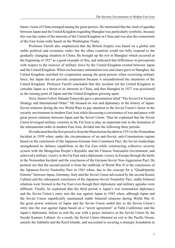future vision of China emerged among the great powers. He mentioned that the clash of agendas between Japan and the United Kingdom regarding Shanghai was particularly symbolic, because this was the center of the interests of the United Kingdom in China and was also the cornerstone of the East Asian order based on the Washington Treaty.

Professor Farrell also emphasized that the British Empire was based on a global and stable political and economic order, but the other countries could not fully respond to the gradually changing situation in China. He brought up the riot in Shanghai which occurred at the beginning of 1927 as a good example of this, and indicated that differences in perceptions with respect to the exercise of military force by the United Kingdom existed between Japan and the United Kingdom. When exclusionary nationalism rose and chaos grew in Shanghai, the United Kingdom searched for cooperation among the great powers when exercising military force, but Japan did not provide cooperation because it misunderstood the intentions of the United Kingdom. Professor Farrell concluded that this incident led the United Kingdom to consider Japan as a threat to its interests in China, and that Shanghai in 1927 was positioned as the turning point of Japan and the United Kingdom growing apart.

Next, Senior Fellow Hanada Tomoyuki gave a presentation titled "The Soviet Far Eastern Strategy and International Order." He focused on war and diplomacy in the history of Japan-Soviet relations during the two World Wars to pay attention to the Soviet Union's factor in the security environment in modern East Asia while discussing a coexistence of war and peace with great power relations between Japan and the Soviet Union. Then he explained that the Soviet Union leveraged military victories in the Far East to play an important role in the formation of the international order in modern East Asia, divided into the following three periods.

He indicated that the first period is from the Manchurian Incident in 1931 to the Nomonhan Incident in 1939 when, under the circumstances of an anti-Soviet, anti-Communism regime based on the conclusion of the Japanese-German Anti-Comintern Pact, the Soviet leaderships strengthened its defense capabilities in the Far East while constructing collective security system with the Mongolian People's Republic and the Chinese Nationalist Government, and achieved a military victory in the Far East and a diplomatic victory in Europe through the battle in the Nomonhan Incident and the conclusion of the German-Soviet Non-Aggression Pact. He pointed out that the second period is from the outbreak of World War II to the conclusion of the Japanese-Soviet Neutrality Pact in 1941 when, due to the concept for a "Quadripartite Entente" between Japan, Germany, Italy and the Soviet Union advocated by the second Konoe Cabinet and the subsequent conclusion of the Japanese-Soviet Neutrality Pact, stable bilateral relations were formed in the Far East even though their diplomatic and military agendas were different. Finally, he explained that the third period is Japan's war termination diplomacy and the Soviet Union's entry into the war against Japan in 1945 when, although Japan and the Soviet Union superficially maintained stable bilateral relations during World War II, the great power relations of Japan and the Soviet Union ended due to the Soviet Union's entry into the war against Japan based on a "secret agreement" at Yalta Conference and the Japan's diplomatic failure to end the war with a peace initiative at the Soviet Union by the Suzuki Kantaro Cabinet. As a result, the Soviet Union obtained an exit to the Pacific Ocean, namely the Sakhalin and the Kuril Islands, and succeeded in securing a strategic foundation in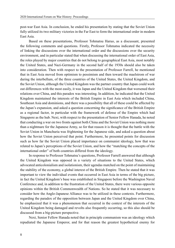post-war East Asia. In conclusion, he ended his presentation by stating that the Soviet Union fully utilized its two military victories in the Far East to form the international order in modern East Asia.

Based on these presentations, Professor Tohmatsu Haruo, as a discussant, presented the following comments and questions. Firstly, Professor Tohmatsu indicated the necessity of linking the discussions over the international order and the discussions over the security environment, and in particular stated that when discussing the international order of East Asia, the roles played by major countries that do not belong to geographical East Asia, most notably the United States, and Nazi-Germany in the second half of the 1930s should also be taken into consideration. Then with respect to the presentation of Professor Farrell, he mentioned that in East Asia moved from optimism to pessimism and then toward the maelstrom of war during the interbellum, of the three countries of the United States, the United Kingdom, and the Soviet Union, although the United Kingdom was the partner country that Japan could work out differences with the most easily, it was Japan and the United Kingdom that worsened their relations over China, and this paradox was interesting. In addition, he indicated that the United Kingdom maintained the interests of the British Empire in East Asia which included China, Southeast Asia and dominions, and there was a possibility that all of these could be affected by the Japan's expansion, and asked a question concerning the significance of the British Empire as a regional factor, in particular with the framework of defense of the Empire which had Singapore as the hub. Next, with respect to the presentation of Senior Fellow Hanada, he noted that conducting a war on two fronts against both China and the Soviet Union was nothing more than a nightmare for the Japanese Army, so for that reason it is thought that the battle with the Soviet Union in Manchuria was frightening for the Japanese side, and asked a question about how the Soviet Union perceived that point. Furthermore, he presented points for discussion such as how far the Soviet Union placed importance on communist ideology, how that was related to Japan's perceptions of the Soviet Union, and how the "matching the concepts of the international order" of both countries differed from the ideology.

In response to Professor Tohmatsu's questions, Professor Farrell answered that although the United Kingdom was opposed in a variety of situations to the United States, which advocated anticolonialism and isolationism, their agendas matched on the point of maintaining the stability of the economy, a global interest of the British Empire. Then he stated that it was important to view the individual events that occurred in East Asia in terms of the big picture, in fact the United Kingdom's base was established in Singapore before the Washington Naval Conference and, in addition to the frustration of the United States, there were various opposite opinions within the British Commonwealth of Nations. So he stated that it was necessary to consider how the Anglo-Japanese Alliance was to be utilized in these contexts. Furthermore, regarding the paradox of the opposition between Japan and the United Kingdom over China, he emphasized that it was a phenomenon that occurred in the context of the interests of the United Kingdom being damaged and revolts also frequently occurring, so this also should be discussed from a big-picture perspective.

Next, Senior Fellow Hanada noted that in principle communism was an ideology which repudiated the Japanese Emperor, and for that reason the greatest hypothetical enemy for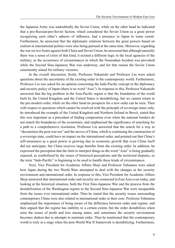the Japanese Army was undoubtedly the Soviet Union, while on the other hand he indicated that a pro-Russian/pro-Soviet faction, which considered the Soviet Union as a great power recognizing each other's spheres of influence, had a presence in Japan to some extent. Furthermore, he answered that the diplomatic relations between the great powers based on realism in international politics were also being pursued at the same time. Moreover, regarding the war on two fronts against both China and Soviet Union, he answered that although naturally there was a sense of crisis of that kind, it existed a different logic in the local agencies of the military, as the occurrence of circumstances in which the Nomonhan Incident was provoked while the Second Sino-Japanese War was underway, and for that reason the Soviet Union consistently aimed for military victories.

In the overall discussion, firstly, Professor Nakanishi and Professor Liu were asked questions about the uncertainty of the existing order in the contemporary world. Furthermore, Professor Liu was asked for an opinion concerning the Indo-Pacific concept in the diplomacy and security policy of Japan (there is no word "Asia"). In response to this, Professor Nakanishi answered that the big problem in the Asia-Pacific region is that the foundation of the world built by the United Kingdom and the United States is destabilizing, but we cannot return to the pre-modern order, while on the other hand no prospects for a new order can be seen. Then with respect to questions which cannot be resolved with the principle of sovereign states only, he introduced the example of the United Kingdom and Northern Ireland in Brexit, stated that this was important as a precedent of finding compromise even when the national borders do not match the boundaries of the economies, and emphasized the significance of searching for a path to a comprehensive resolution. Professor Liu answered that the search for a way to "deconstruct the post-war era" and the moves of China, which is continuing the construction of a sovereign state, could have an impact on the international order, and pointed out that China's self-awareness as a great power is growing due to economic growth that even China itself did not anticipate, but China receives large benefits from the existing order. In addition, he expressed the perception that the limit to interpret things as the word "Asia" is being gradually exposed, as symbolized by the issues of historical perceptions and the territorial disputes, so the term "Indo-Pacific" is beginning to be used to handle these kinds of circumstances.

Next, Vice President for Academic Affairs Shoji and Professor Tohmatsu were asked how Japan during the two World Wars attempted to deal with the changes in the security environment and international order. In response to this, Vice President for Academic Affairs Shoji answered that international order and security are connected in East Asia even today, and looking at the historical situation, both the First Sino-Japanese War and the process from the destabilization of the Washington regime to the Second Sino-Japanese War were inseparable from the issues over international order. Then he stated that the security issues surrounding contemporary China were also related in international order at their core. Professor Tohmatsu emphasized the importance of being aware of the difference between order and regime, and then argued that the regime has stability to a certain extent, but the order destabilizes when arise the issues of profit and loss among states, and sometimes the security environment becomes shaken due to attempts to maintain order. Then he mentioned that the contemporary world is truly at a stage when the post-World War II framework is destabilizing. Furthermore,